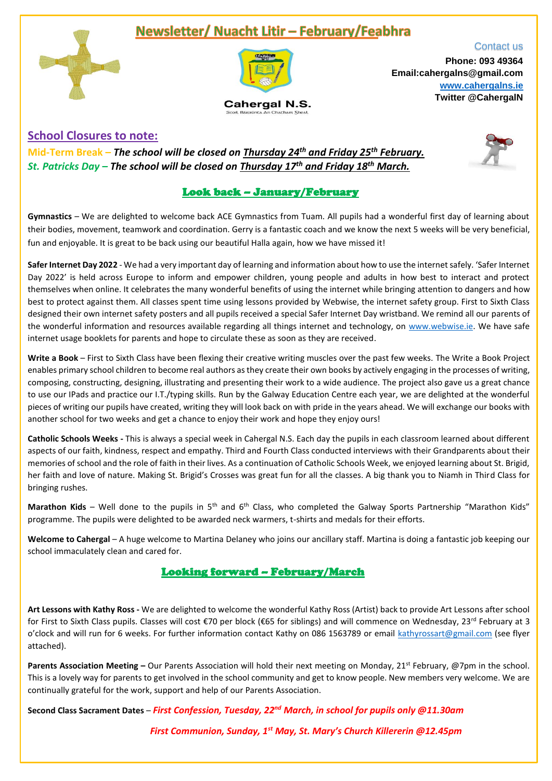## Newsletter/ Nuacht Litir - February/Feabhra





Cahergal N.S.

Contact us **Phone: 093 49364 Email:cahergalns@gmail.com [www.cahergalns.ie](http://www.cahergalns.ie/) Twitter @CahergalN**

## **School Closures to note:**

**Mid-Term Break –** *The school will be closed on Thursday 24th and Friday 25th February. St. Patricks Day – The school will be closed on Thursday 17th and Friday 18th March.*

## Look back – January/February

**Gymnastics** – We are delighted to welcome back ACE Gymnastics from Tuam. All pupils had a wonderful first day of learning about their bodies, movement, teamwork and coordination. Gerry is a fantastic coach and we know the next 5 weeks will be very beneficial, fun and enjoyable. It is great to be back using our beautiful Halla again, how we have missed it!

**Safer Internet Day 2022** - We had a very important day of learning and information about how to use the internet safely. 'Safer Internet Day 2022' is held across Europe to inform and empower children, young people and adults in how best to interact and protect themselves when online. It celebrates the many wonderful benefits of using the internet while bringing attention to dangers and how best to protect against them. All classes spent time using lessons provided by Webwise, the internet safety group. First to Sixth Class designed their own internet safety posters and all pupils received a special Safer Internet Day wristband. We remind all our parents of the wonderful information and resources available regarding all things internet and technology, on [www.webwise.ie.](http://www.webwise.ie/) We have safe internet usage booklets for parents and hope to circulate these as soon as they are received.

**Write a Book** – First to Sixth Class have been flexing their creative writing muscles over the past few weeks. The Write a Book Project enables primary school children to become real authors as they create their own books by actively engaging in the processes of writing, composing, constructing, designing, illustrating and presenting their work to a wide audience. The project also gave us a great chance to use our IPads and practice our I.T./typing skills. Run by the Galway Education Centre each year, we are delighted at the wonderful pieces of writing our pupils have created, writing they will look back on with pride in the years ahead. We will exchange our books with another school for two weeks and get a chance to enjoy their work and hope they enjoy ours!

**Catholic Schools Weeks -** This is always a special week in Cahergal N.S. Each day the pupils in each classroom learned about different aspects of our faith, kindness, respect and empathy. Third and Fourth Class conducted interviews with their Grandparents about their memories of school and the role of faith in their lives. As a continuation of Catholic Schools Week, we enjoyed learning about St. Brigid, her faith and love of nature. Making St. Brigid's Crosses was great fun for all the classes. A big thank you to Niamh in Third Class for bringing rushes.

Marathon Kids – Well done to the pupils in 5<sup>th</sup> and 6<sup>th</sup> Class, who completed the Galway Sports Partnership "Marathon Kids" programme. The pupils were delighted to be awarded neck warmers, t-shirts and medals for their efforts.

**Welcome to Cahergal** – A huge welcome to Martina Delaney who joins our ancillary staff. Martina is doing a fantastic job keeping our school immaculately clean and cared for.

## Looking forward – February/March

**Art Lessons with Kathy Ross -** We are delighted to welcome the wonderful Kathy Ross (Artist) back to provide Art Lessons after school for First to Sixth Class pupils. Classes will cost €70 per block (€65 for siblings) and will commence on Wednesday, 23<sup>rd</sup> February at 3 o'clock and will run for 6 weeks. For further information contact Kathy on 086 1563789 or email [kathyrossart@gmail.com](mailto:kathyrossart@gmail.com) (see flyer attached).

**Parents Association Meeting –** Our Parents Association will hold their next meeting on Monday, 21<sup>st</sup> February, @7pm in the school. This is a lovely way for parents to get involved in the school community and get to know people. New members very welcome. We are continually grateful for the work, support and help of our Parents Association.

**Second Class Sacrament Dates** – *First Confession, Tuesday, 22nd March, in school for pupils only @11.30am* 

 *First Communion, Sunday, 1st May, St. Mary's Church Killererin @12.45pm*